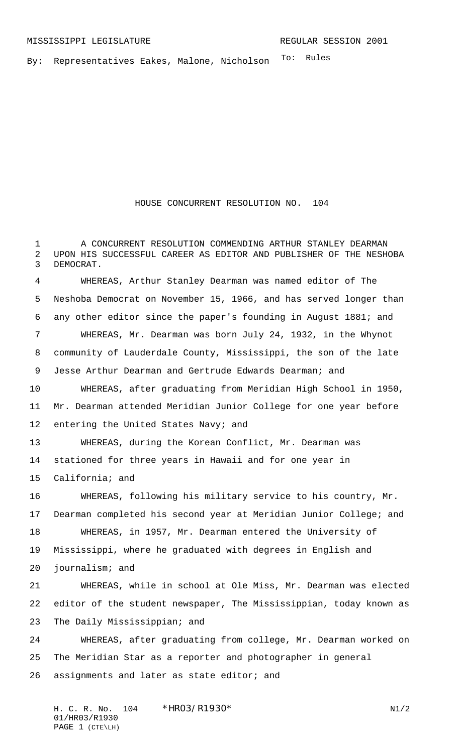By: Representatives Eakes, Malone, Nicholson <sup>To: Rules</sup>

## HOUSE CONCURRENT RESOLUTION NO. 104

 A CONCURRENT RESOLUTION COMMENDING ARTHUR STANLEY DEARMAN UPON HIS SUCCESSFUL CAREER AS EDITOR AND PUBLISHER OF THE NESHOBA DEMOCRAT.

 WHEREAS, Arthur Stanley Dearman was named editor of The Neshoba Democrat on November 15, 1966, and has served longer than any other editor since the paper's founding in August 1881; and WHEREAS, Mr. Dearman was born July 24, 1932, in the Whynot community of Lauderdale County, Mississippi, the son of the late Jesse Arthur Dearman and Gertrude Edwards Dearman; and WHEREAS, after graduating from Meridian High School in 1950, Mr. Dearman attended Meridian Junior College for one year before entering the United States Navy; and WHEREAS, during the Korean Conflict, Mr. Dearman was stationed for three years in Hawaii and for one year in California; and WHEREAS, following his military service to his country, Mr. Dearman completed his second year at Meridian Junior College; and WHEREAS, in 1957, Mr. Dearman entered the University of Mississippi, where he graduated with degrees in English and journalism; and WHEREAS, while in school at Ole Miss, Mr. Dearman was elected editor of the student newspaper, The Mississippian, today known as The Daily Mississippian; and

 WHEREAS, after graduating from college, Mr. Dearman worked on The Meridian Star as a reporter and photographer in general assignments and later as state editor; and